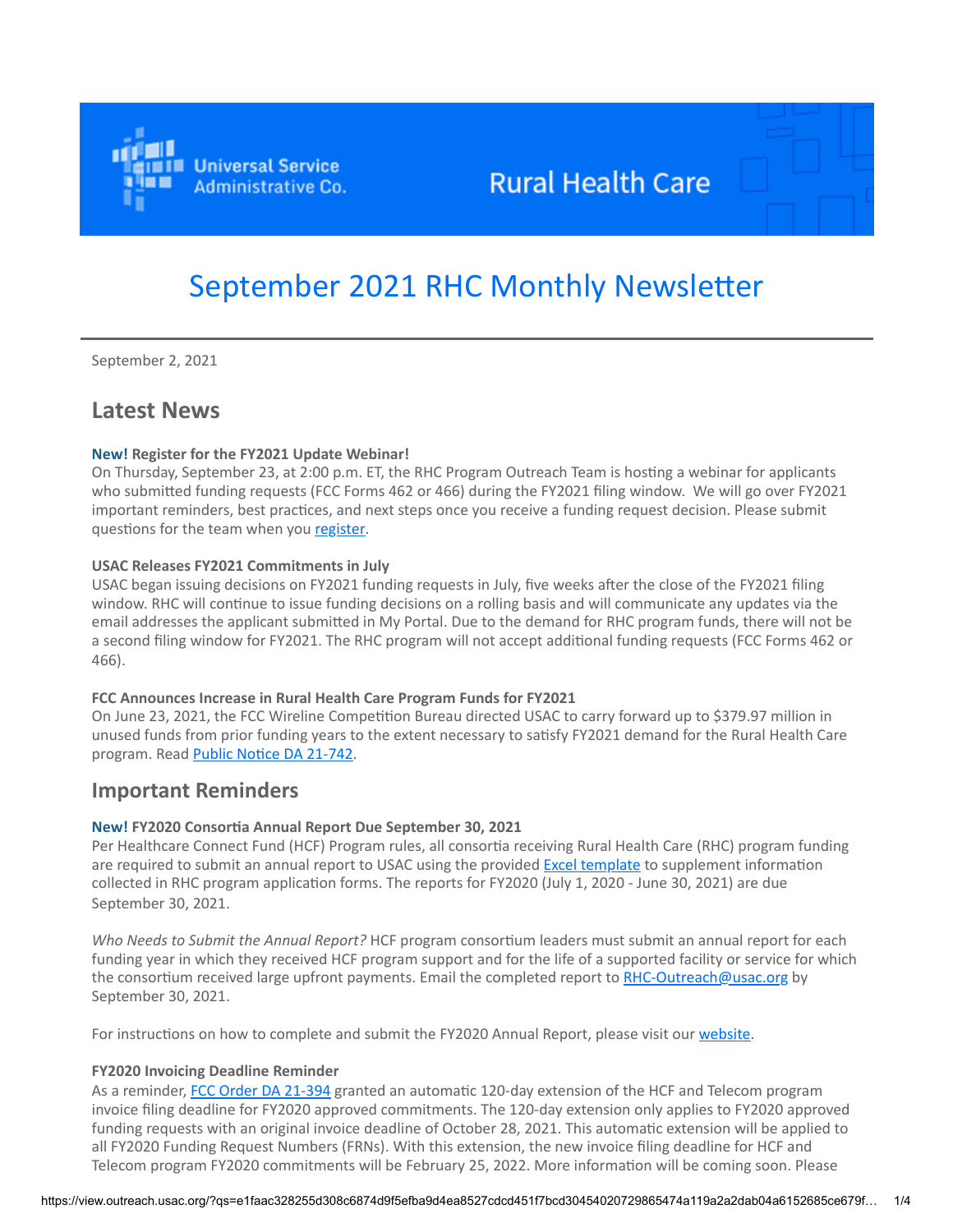

# **Rural Health Care**

# September 2021 RHC Monthly Newsletter

September 2, 2021

# **Latest News**

#### **New! Register for the FY2021 Update Webinar!**

On Thursday, September 23, at 2:00 p.m. ET, the RHC Program Outreach Team is hosting a webinar for applicants who submitted funding requests (FCC Forms 462 or 466) during the FY2021 filing window. We will go over FY2021 important reminders, best practices, and next steps once you receive a funding request decision. Please submit questions for the team when you [register](https://click.outreach.usac.org/?qs=1d013ec29b5bd9191ed9e06b5e6cc13251c5a781b38cbae882803bf3040752188de243b19d8e522692384adfa1cf26a8461f6cc5b6fc6d18).

#### **USAC Releases FY2021 Commitments in July**

USAC began issuing decisions on FY2021 funding requests in July, five weeks after the close of the FY2021 filing window. RHC will continue to issue funding decisions on a rolling basis and will communicate any updates via the email addresses the applicant submitted in My Portal. Due to the demand for RHC program funds, there will not be a second filing window for FY2021. The RHC program will not accept additional funding requests (FCC Forms 462 or 466).

#### **FCC Announces Increase in Rural Health Care Program Funds for FY2021**

On June 23, 2021, the FCC Wireline Competition Bureau directed USAC to carry forward up to \$379.97 million in unused funds from prior funding years to the extent necessary to satisfy FY2021 demand for the Rural Health Care program. Read [Public Notice DA 21-742.](https://click.outreach.usac.org/?qs=1d013ec29b5bd91920fac86673488eab5d72c8e2ab500bda617bdf016a2fff150b940422818846afea9c0f0e59666dff9cdf8d0337e10da3)

## **Important Reminders**

#### **New! FY2020 Consortia Annual Report Due September 30, 2021**

Per Healthcare Connect Fund (HCF) Program rules, all consortia receiving Rural Health Care (RHC) program funding are required to submit an annual report to USAC using the provided [Excel template](https://click.outreach.usac.org/?qs=1d013ec29b5bd9191133d4485168bdd1d70b6d46042c2795b885b4e198e69c2b0c7b734fbcd03a1c032725953e3b867ab43e7a783269c926) to supplement information collected in RHC program application forms. The reports for FY2020 (July 1, 2020 - June 30, 2021) are due September 30, 2021.

*Who Needs to Submit the Annual Report?* HCF program consortium leaders must submit an annual report for each funding year in which they received HCF program support and for the life of a supported facility or service for which the consortium received large upfront payments. Email the completed report to [RHC-Outreach@usac.org](mailto:RHC-Outreach@usac.org?subject=) by September 30, 2021.

For instructions on how to complete and submit the FY2020 Annual Report, please visit our [website.](https://click.outreach.usac.org/?qs=1d013ec29b5bd919db4ec30102bb9dadd7446b46700f7dff15fb173c598d164e34cea06c9c562a87122e8785b7578938e753408c6be48b53)

#### **FY2020 Invoicing Deadline Reminder**

As a reminder, [FCC Order DA 21-394](https://click.outreach.usac.org/?qs=1d013ec29b5bd919dbcb4dbb2029d4e6a434492f7a01832d4d58909b93112a4b13c5905db4c79886b54f0b72b53b07ff57e12bd76db6b9a2) granted an automatic 120-day extension of the HCF and Telecom program invoice filing deadline for FY2020 approved commitments. The 120-day extension only applies to FY2020 approved funding requests with an original invoice deadline of October 28, 2021. This automatic extension will be applied to all FY2020 Funding Request Numbers (FRNs). With this extension, the new invoice filing deadline for HCF and Telecom program FY2020 commitments will be February 25, 2022. More information will be coming soon. Please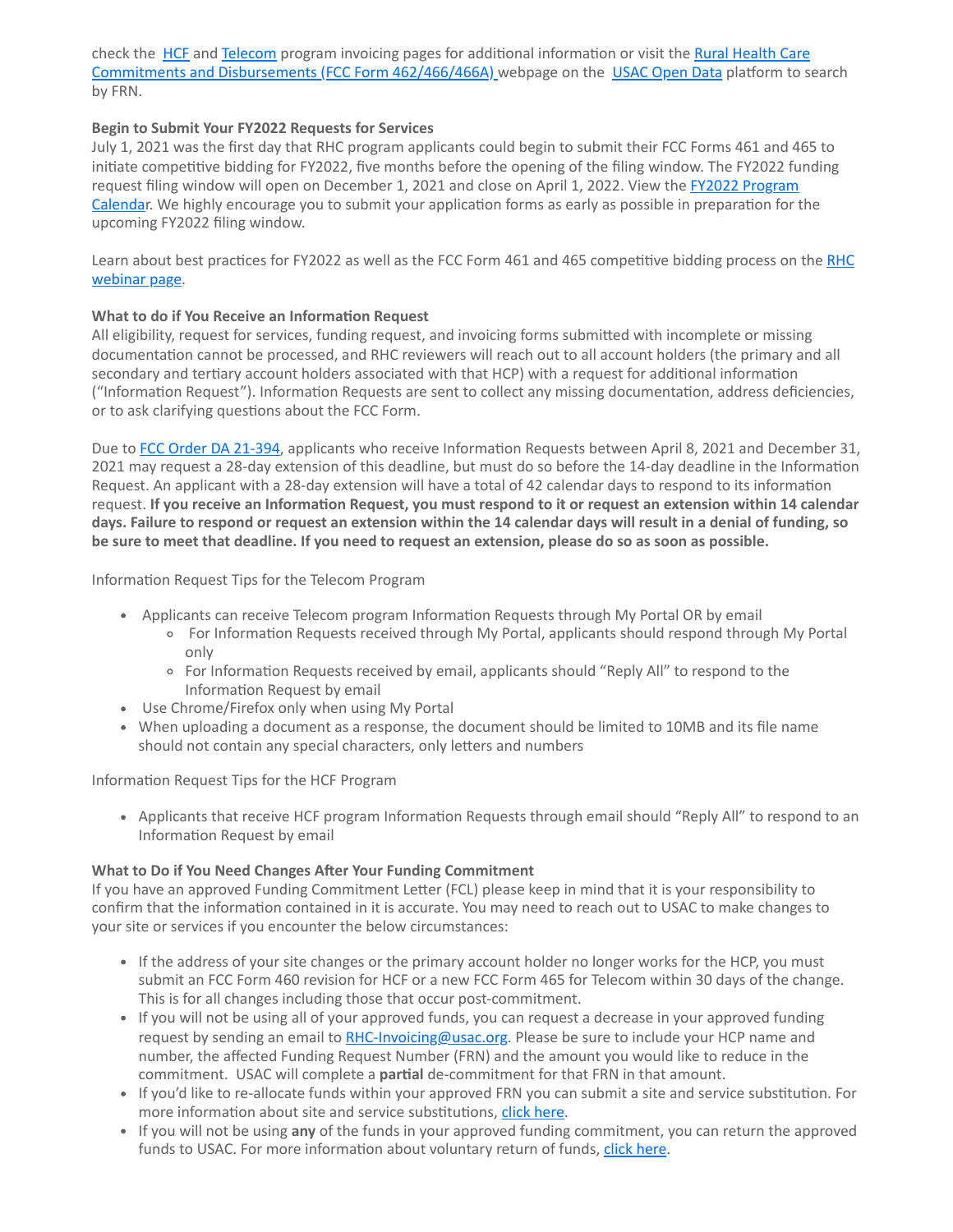check the [H](https://click.outreach.usac.org/?qs=1d013ec29b5bd919a9604b5a41a5112873d52d5a300b56433a0aac055273a2792841ca3635fdd21705ed68427c7360b0556785b5e083d892)[CF](https://click.outreach.usac.org/?qs=1d013ec29b5bd9197f79786eaef0aef807ce4d34f406b3d24c28bf00acf418f0ba895287c618e8e668cb0e8ebf822eb3c8d8bc2f4590c7ad) [and](https://click.outreach.usac.org/?qs=1d013ec29b5bd919a9604b5a41a5112873d52d5a300b56433a0aac055273a2792841ca3635fdd21705ed68427c7360b0556785b5e083d892) [Teleco](https://click.outreach.usac.org/?qs=1d013ec29b5bd919e77548091b4deec81d944bb75ede783348dd24572bee6970ec72aeca439c465d16465178bbdeb711459a46d547470da2)[m program invoicing pages for additional information or visit the Rural Health Care](https://click.outreach.usac.org/?qs=1d013ec29b5bd919a9604b5a41a5112873d52d5a300b56433a0aac055273a2792841ca3635fdd21705ed68427c7360b0556785b5e083d892) Commitments and Disbursements (FCC Form 462/466/466A) webpage on the [USAC Open Data](https://click.outreach.usac.org/?qs=1d013ec29b5bd919a2834eb0cb67134a90f7c6fed5669c6ea11f1dfaf8edd4d54c7dbc739302931ccf1e23a6dfbbc8b7dd06b7dc677ceccf) platform to search by FRN.

#### **Begin to Submit Your FY2022 Requests for Services**

July 1, 2021 was the first day that RHC program applicants could begin to submit their FCC Forms 461 and 465 to initiate competitive bidding for FY2022, five months before the opening of the filing window. The FY2022 funding request filing window will open on December 1, 2021 and close on April 1, 2022. View the **FY2022 Program** [Calendar. We highly encourage you to submit your application forms as early as possible in preparation for t](https://click.outreach.usac.org/?qs=1d013ec29b5bd9196641fba6e74967e749497102e0d4c2fed389c1e7ef28102dfd8d9340e65796f99c8117335e43ce2b157e4bd08ff76bda)he upcoming FY2022 filing window.

[Learn about best practices for FY2022 as well as the FCC Form 461 and 465 competitive bidding process on the RHC](https://click.outreach.usac.org/?qs=1d013ec29b5bd919ccf97eaf0052fcea425d6e5313e8441afa32d9bc92a3e74700fbed1ff4fe879458f28f4f829cf40c124d8c94553451b7) webinar page.

#### **What to do if You Receive an Information Request**

All eligibility, request for services, funding request, and invoicing forms submitted with incomplete or missing documentation cannot be processed, and RHC reviewers will reach out to all account holders (the primary and all secondary and tertiary account holders associated with that HCP) with a request for additional information ("Information Request"). Information Requests are sent to collect any missing documentation, address deficiencies, or to ask clarifying questions about the FCC Form.

Due to [FCC Order DA 21-394](https://click.outreach.usac.org/?qs=1d013ec29b5bd919dbcb4dbb2029d4e6a434492f7a01832d4d58909b93112a4b13c5905db4c79886b54f0b72b53b07ff57e12bd76db6b9a2), applicants who receive Information Requests between April 8, 2021 and December 31, 2021 may request a 28-day extension of this deadline, but must do so before the 14-day deadline in the Information Request. An applicant with a 28-day extension will have a total of 42 calendar days to respond to its information request. **If you receive an Information Request, you must respond to it or request an extension within 14 calendar days. Failure to respond or request an extension within the 14 calendar days will result in a denial of funding, so be sure to meet that deadline. If you need to request an extension, please do so as soon as possible.**

Information Request Tips for the Telecom Program

- Applicants can receive Telecom program Information Requests through My Portal OR by email
	- For Information Requests received through My Portal, applicants should respond through My Portal only
	- For Information Requests received by email, applicants should "Reply All" to respond to the Information Request by email
- Use Chrome/Firefox only when using My Portal
- When uploading a document as a response, the document should be limited to 10MB and its file name should not contain any special characters, only letters and numbers

Information Request Tips for the HCF Program

Applicants that receive HCF program Information Requests through email should "Reply All" to respond to an Information Request by email

## **What to Do if You Need Changes After Your Funding Commitment**

If you have an approved Funding Commitment Letter (FCL) please keep in mind that it is your responsibility to confirm that the information contained in it is accurate. You may need to reach out to USAC to make changes to your site or services if you encounter the below circumstances:

- If the address of your site changes or the primary account holder no longer works for the HCP, you must submit an FCC Form 460 revision for HCF or a new FCC Form 465 for Telecom within 30 days of the change. This is for all changes including those that occur post-commitment.
- If you will not be using all of your approved funds, you can request a decrease in your approved funding request by sending an email to [RHC-Invoicing@usac.org](mailto:RHC-Invoicing@usac.org?subject=). Please be sure to include your HCP name and number, the affected Funding Request Number (FRN) and the amount you would like to reduce in the commitment. USAC will complete a **partial** de-commitment for that FRN in that amount.
- If you'd like to re-allocate funds within your approved FRN you can submit a site and service substitution. For more information about site and service substitutions, [click here.](https://click.outreach.usac.org/?qs=1d013ec29b5bd919564d3753c81215e62ff52d0828f028ac6579508a073f27e8b8c6ef46097041f8ef19af9496b4732d9d89e14e86a08b00)
- If you will not be using **any** of the funds in your approved funding commitment, you can return the approved funds to USAC. For more information about voluntary return of funds, [click here.](https://click.outreach.usac.org/?qs=1d013ec29b5bd919d60645aa2afbd9adfa6c953a96b2f11ae4cfd5e590690e3ed2bb3ff51bf5f7dead1eafa2b81b431e0fcca5bc847bcd21)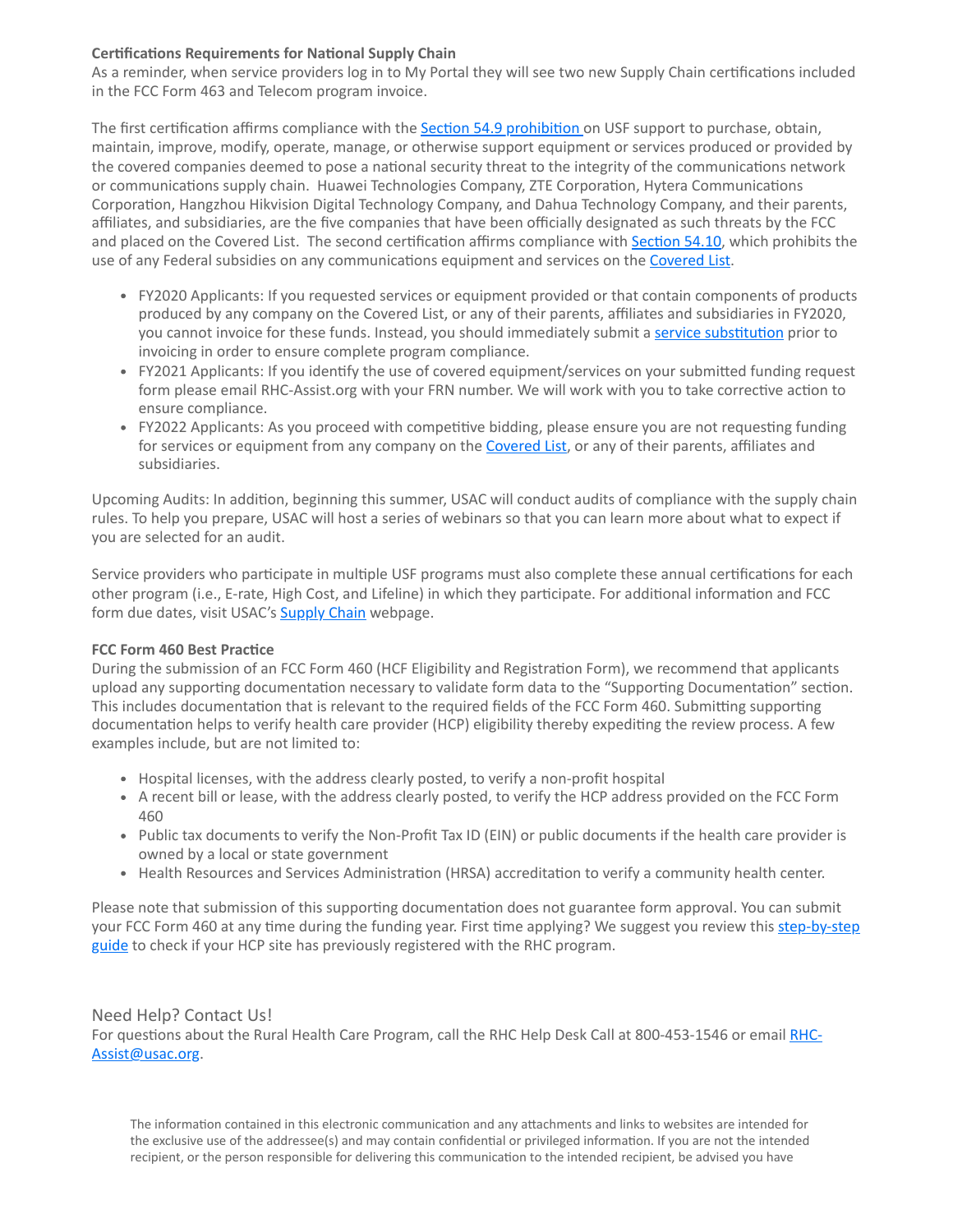#### **Certifications Requirements for National Supply Chain**

As a reminder, when service providers log in to My Portal they will see two new Supply Chain certifications included in the FCC Form 463 and Telecom program invoice.

The first certification affirms compliance with the **Section 54.9 prohibition** on USF support to purchase, obtain, maintain, improve, modify, operate, manage, or otherwise support equipment or services produced or provided by the covered companies deemed to pose a national security threat to the integrity of the communications network or communications supply chain. Huawei Technologies Company, ZTE Corporation, Hytera Communications Corporation, Hangzhou Hikvision Digital Technology Company, and Dahua Technology Company, and their parents, affiliates, and subsidiaries, are the five companies that have been officially designated as such threats by the FCC and placed on the Covered List. The second certification affirms compliance with [Section 54.10,](https://click.outreach.usac.org/?qs=1d013ec29b5bd91957d505a4a933c71644205685b14f9fb9c9c03b764efca642c47b7e0ad126a3f8a50c5e1900e9311ebd612ce32bf64573) which prohibits the use of any Federal subsidies on any communications equipment and services on the [Covered List](https://click.outreach.usac.org/?qs=1d013ec29b5bd9191b48fe8a2e89beb2d13d1b819ffd09a85a0e9bea703691b01c308265c1a2a5202cf9cb2482a8d9a243e6716ae6f25f6c).

- FY2020 Applicants: If you requested services or equipment provided or that contain components of products produced by any company on the Covered List, or any of their parents, affiliates and subsidiaries in FY2020, you cannot invoice for these funds. Instead, you should immediately submit a [service substitution](https://click.outreach.usac.org/?qs=1d013ec29b5bd9192e2f0f25ced0f3c7ff7a768576972ba43f1c9ff6ca5098a115403a5eb288537abc2ce24fde46ad6fc647bfe11deb68b3) prior to invoicing in order to ensure complete program compliance.
- FY2021 Applicants: If you identify the use of covered equipment/services on your submitted funding request form please email RHC-Assist.org with your FRN number. We will work with you to take corrective action to ensure compliance.
- FY2022 Applicants: As you proceed with competitive bidding, please ensure you are not requesting funding for services or equipment from any company on the [Covered List](https://click.outreach.usac.org/?qs=1d013ec29b5bd9191b48fe8a2e89beb2d13d1b819ffd09a85a0e9bea703691b01c308265c1a2a5202cf9cb2482a8d9a243e6716ae6f25f6c), or any of their parents, affiliates and subsidiaries.

Upcoming Audits: In addition, beginning this summer, USAC will conduct audits of compliance with the supply chain rules. To help you prepare, USAC will host a series of webinars so that you can learn more about what to expect if you are selected for an audit.

Service providers who participate in multiple USF programs must also complete these annual certifications for each other program (i.e., E-rate, High Cost, and Lifeline) in which they participate. For additional information and FCC form due dates, visit USAC's **Supply Chain** webpage.

## **FCC Form 460 Best Practice**

During the submission of an FCC Form 460 (HCF Eligibility and Registration Form), we recommend that applicants upload any supporting documentation necessary to validate form data to the "Supporting Documentation" section. This includes documentation that is relevant to the required fields of the FCC Form 460. Submitting supporting documentation helps to verify health care provider (HCP) eligibility thereby expediting the review process. A few examples include, but are not limited to:

- Hospital licenses, with the address clearly posted, to verify a non-profit hospital
- A recent bill or lease, with the address clearly posted, to verify the HCP address provided on the FCC Form 460
- Public tax documents to verify the Non-Profit Tax ID (EIN) or public documents if the health care provider is owned by a local or state government
- Health Resources and Services Administration (HRSA) accreditation to verify a community health center.

Please note that submission of this supporting documentation does not guarantee form approval. You can submit [your FCC Form 460 at any time during the funding year. First time applying? We suggest you review this step-by-step](https://click.outreach.usac.org/?qs=1d013ec29b5bd9193ad4879ec73d6164a4c36433b1ad63b5cd2e2bbb5a9b091e28bc508e67bb16cf1ce8deb8a4a3f17599879be8ecd573f0) guide to check if your HCP site has previously registered with the RHC program.

## Need Help? Contact Us!

[For questions about the Rural Health Care Program, call](mailto:RHC-Assist@usac.org?subject=) the RHC Help Desk Call at 800-453-1546 or email RHC-Assist@usac.org.

The information contained in this electronic communication and any attachments and links to websites are intended for the exclusive use of the addressee(s) and may contain confidential or privileged information. If you are not the intended recipient, or the person responsible for delivering this communication to the intended recipient, be advised you have